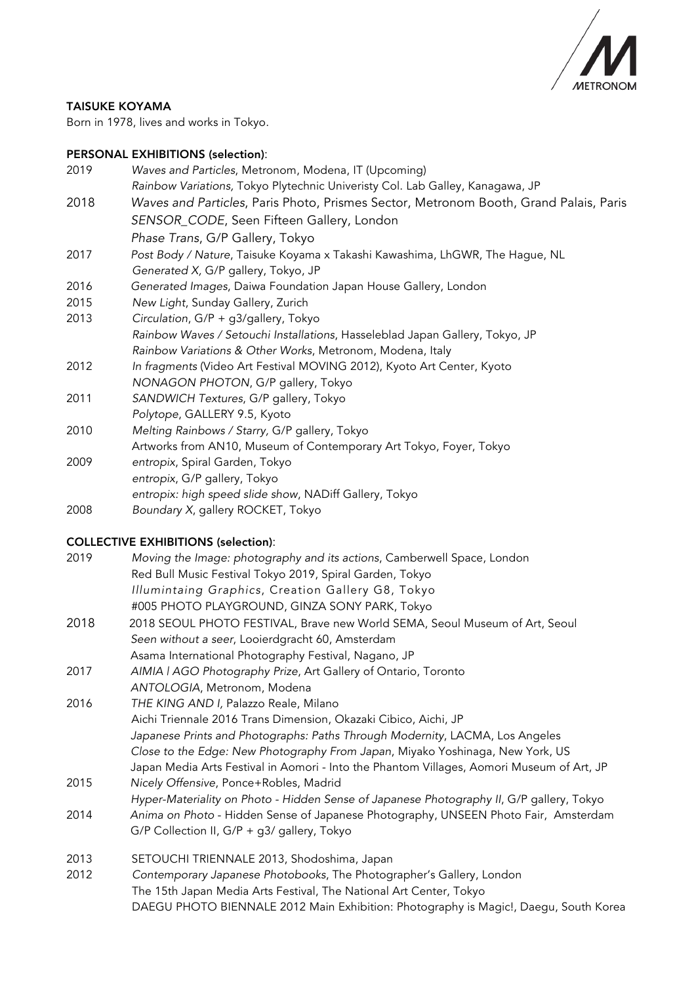

## TAISUKE KOYAMA

Born in 1978, lives and works in Tokyo.

### PERSONAL EXHIBITIONS (selection):

| 2019 | Waves and Particles, Metronom, Modena, IT (Upcoming)                                  |
|------|---------------------------------------------------------------------------------------|
|      | Rainbow Variations, Tokyo Plytechnic Univeristy Col. Lab Galley, Kanagawa, JP         |
| 2018 | Waves and Particles, Paris Photo, Prismes Sector, Metronom Booth, Grand Palais, Paris |
|      | SENSOR_CODE, Seen Fifteen Gallery, London                                             |
|      | Phase Trans, G/P Gallery, Tokyo                                                       |
| 2017 | Post Body / Nature, Taisuke Koyama x Takashi Kawashima, LhGWR, The Hague, NL          |
|      | Generated X, G/P gallery, Tokyo, JP                                                   |
| 2016 | Generated Images, Daiwa Foundation Japan House Gallery, London                        |
| 2015 | New Light, Sunday Gallery, Zurich                                                     |
| 2013 | Circulation, G/P + g3/gallery, Tokyo                                                  |
|      | Rainbow Waves / Setouchi Installations, Hasseleblad Japan Gallery, Tokyo, JP          |
|      | Rainbow Variations & Other Works, Metronom, Modena, Italy                             |
| 2012 | In fragments (Video Art Festival MOVING 2012), Kyoto Art Center, Kyoto                |
|      | NONAGON PHOTON, G/P gallery, Tokyo                                                    |
| 2011 | SANDWICH Textures, G/P gallery, Tokyo                                                 |
|      | Polytope, GALLERY 9.5, Kyoto                                                          |

2010 *Melting Rainbows / Starry,* G/P gallery, Tokyo Artworks from AN10, Museum of Contemporary Art Tokyo, Foyer, Tokyo

- 2009 *entropix*, Spiral Garden, Tokyo *entropix*, G/P gallery, Tokyo *entropix: high speed slide show*, NADiff Gallery, Tokyo
- 2008 *Boundary X*, gallery ROCKET, Tokyo

# COLLECTIVE EXHIBITIONS (selection):

| 2019                             | Moving the Image: photography and its actions, Camberwell Space, London |
|----------------------------------|-------------------------------------------------------------------------|
|                                  | Red Bull Music Festival Tokyo 2019, Spiral Garden, Tokyo                |
|                                  | Illumintaing Graphics, Creation Gallery G8, Tokyo                       |
|                                  | #005 PHOTO PLAYGROUND, GINZA SONY PARK, Tokyo                           |
| $\begin{array}{c} \n\end{array}$ |                                                                         |

- 2018 2018 SEOUL PHOTO FESTIVAL, Brave new World SEMA, Seoul Museum of Art, Seoul *Seen without a seer*, Looierdgracht 60, Amsterdam Asama International Photography Festival, Nagano, JP
- 2017 *AIMIA | AGO Photography Prize*, Art Gallery of Ontario, Toronto *ANTOLOGIA*, Metronom, Modena
- 2016 *THE KING AND I,* Palazzo Reale, Milano Aichi Triennale 2016 Trans Dimension, Okazaki Cibico, Aichi, JP *Japanese Prints and Photographs: Paths Through Modernity*, LACMA, Los Angeles *Close to the Edge: New Photography From Japan*, Miyako Yoshinaga, New York, US Japan Media Arts Festival in Aomori - Into the Phantom Villages, Aomori Museum of Art, JP
- 2015 *Nicely Offensive*, Ponce+Robles, Madrid *Hyper-Materiality on Photo - Hidden Sense of Japanese Photography II*, G/P gallery, Tokyo 2014 *Anima on Photo* - Hidden Sense of Japanese Photography, UNSEEN Photo Fair, Amsterdam G/P Collection II, G/P + g3/ gallery, Tokyo
- 2013 SETOUCHI TRIENNALE 2013, Shodoshima, Japan
- 2012 *Contemporary Japanese Photobooks*, The Photographer's Gallery, London The 15th Japan Media Arts Festival, The National Art Center, Tokyo DAEGU PHOTO BIENNALE 2012 Main Exhibition: Photography is Magic!, Daegu, South Korea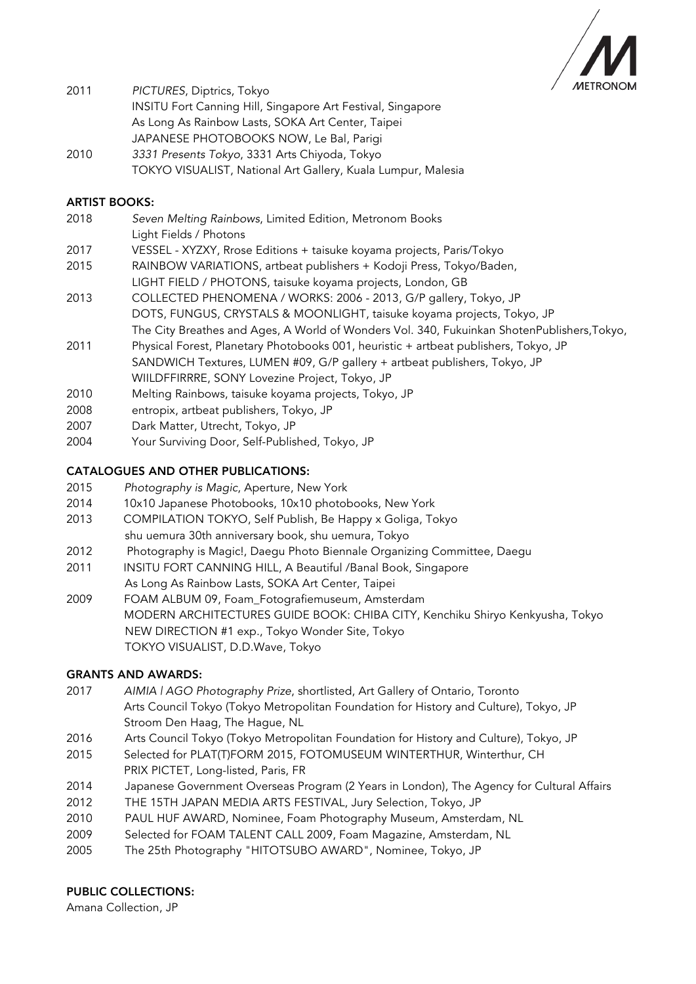

| 2011 | PICTURES, Diptrics, Tokyo                                          |
|------|--------------------------------------------------------------------|
|      | <b>INSITU Fort Canning Hill, Singapore Art Festival, Singapore</b> |
|      | As Long As Rainbow Lasts, SOKA Art Center, Taipei                  |
|      | JAPANESE PHOTOBOOKS NOW, Le Bal, Parigi                            |
| 0010 |                                                                    |

2010 *3331 Presents Tokyo*, 3331 Arts Chiyoda, Tokyo TOKYO VISUALIST, National Art Gallery, Kuala Lumpur, Malesia

## ARTIST BOOKS:

- 2018 *Seven Melting Rainbows*, Limited Edition, Metronom Books Light Fields / Photons
- 2017 VESSEL XYZXY, Rrose Editions + taisuke koyama projects, Paris/Tokyo
- 2015 RAINBOW VARIATIONS, artbeat publishers + Kodoji Press, Tokyo/Baden,
- LIGHT FIELD / PHOTONS, taisuke koyama projects, London, GB
- 2013 COLLECTED PHENOMENA / WORKS: 2006 2013, G/P gallery, Tokyo, JP DOTS, FUNGUS, CRYSTALS & MOONLIGHT, taisuke koyama projects, Tokyo, JP The City Breathes and Ages, A World of Wonders Vol. 340, Fukuinkan ShotenPublishers,Tokyo,
- 2011 Physical Forest, Planetary Photobooks 001, heuristic + artbeat publishers, Tokyo, JP SANDWICH Textures, LUMEN #09, G/P gallery + artbeat publishers, Tokyo, JP WIILDFFIRRRE, SONY Lovezine Project, Tokyo, JP
- 2010 Melting Rainbows, taisuke koyama projects, Tokyo, JP
- 2008 entropix, artbeat publishers, Tokyo, JP
- 2007 Dark Matter, Utrecht, Tokyo, JP
- 2004 Your Surviving Door, Self-Published, Tokyo, JP

### CATALOGUES AND OTHER PUBLICATIONS:

- 2015 *Photography is Magic*, Aperture, New York
- 2014 10x10 Japanese Photobooks, 10x10 photobooks, New York
- 2013 COMPILATION TOKYO, Self Publish, Be Happy x Goliga, Tokyo shu uemura 30th anniversary book, shu uemura, Tokyo
- 2012 Photography is Magic!, Daegu Photo Biennale Organizing Committee, Daegu
- 2011 INSITU FORT CANNING HILL, A Beautiful /Banal Book, Singapore
- As Long As Rainbow Lasts, SOKA Art Center, Taipei
- 2009 FOAM ALBUM 09, Foam\_Fotografiemuseum, Amsterdam MODERN ARCHITECTURES GUIDE BOOK: CHIBA CITY, Kenchiku Shiryo Kenkyusha, Tokyo NEW DIRECTION #1 exp., Tokyo Wonder Site, Tokyo TOKYO VISUALIST, D.D.Wave, Tokyo

#### GRANTS AND AWARDS:

- 2017 *AIMIA | AGO Photography Prize*, shortlisted, Art Gallery of Ontario, Toronto Arts Council Tokyo (Tokyo Metropolitan Foundation for History and Culture), Tokyo, JP Stroom Den Haag, The Hague, NL
- 2016 Arts Council Tokyo (Tokyo Metropolitan Foundation for History and Culture), Tokyo, JP
- 2015 Selected for PLAT(T)FORM 2015, FOTOMUSEUM WINTERTHUR, Winterthur, CH PRIX PICTET, Long-listed, Paris, FR
- 2014 Japanese Government Overseas Program (2 Years in London), The Agency for Cultural Affairs
- 2012 THE 15TH JAPAN MEDIA ARTS FESTIVAL, Jury Selection, Tokyo, JP
- 2010 PAUL HUF AWARD, Nominee, Foam Photography Museum, Amsterdam, NL
- 2009 Selected for FOAM TALENT CALL 2009, Foam Magazine, Amsterdam, NL
- 2005 The 25th Photography "HITOTSUBO AWARD", Nominee, Tokyo, JP

#### PUBLIC COLLECTIONS:

Amana Collection, JP